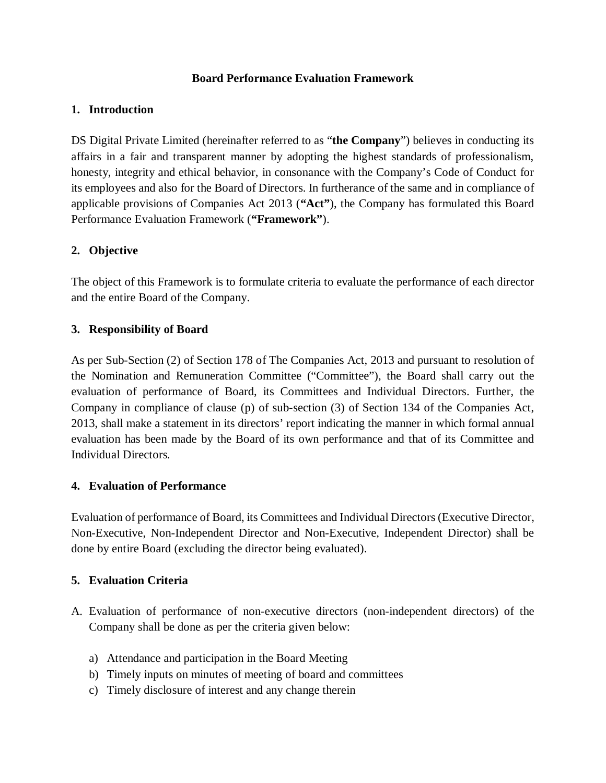### **Board Performance Evaluation Framework**

### **1. Introduction**

DS Digital Private Limited (hereinafter referred to as "**the Company**") believes in conducting its affairs in a fair and transparent manner by adopting the highest standards of professionalism, honesty, integrity and ethical behavior, in consonance with the Company's Code of Conduct for its employees and also for the Board of Directors. In furtherance of the same and in compliance of applicable provisions of Companies Act 2013 (**"Act"**), the Company has formulated this Board Performance Evaluation Framework (**"Framework"**).

# **2. Objective**

The object of this Framework is to formulate criteria to evaluate the performance of each director and the entire Board of the Company.

## **3. Responsibility of Board**

As per Sub-Section (2) of Section 178 of The Companies Act, 2013 and pursuant to resolution of the Nomination and Remuneration Committee ("Committee"), the Board shall carry out the evaluation of performance of Board, its Committees and Individual Directors. Further, the Company in compliance of clause (p) of sub-section (3) of Section 134 of the Companies Act, 2013, shall make a statement in its directors' report indicating the manner in which formal annual evaluation has been made by the Board of its own performance and that of its Committee and Individual Directors.

## **4. Evaluation of Performance**

Evaluation of performance of Board, its Committees and Individual Directors (Executive Director, Non-Executive, Non-Independent Director and Non-Executive, Independent Director) shall be done by entire Board (excluding the director being evaluated).

## **5. Evaluation Criteria**

- A. Evaluation of performance of non-executive directors (non-independent directors) of the Company shall be done as per the criteria given below:
	- a) Attendance and participation in the Board Meeting
	- b) Timely inputs on minutes of meeting of board and committees
	- c) Timely disclosure of interest and any change therein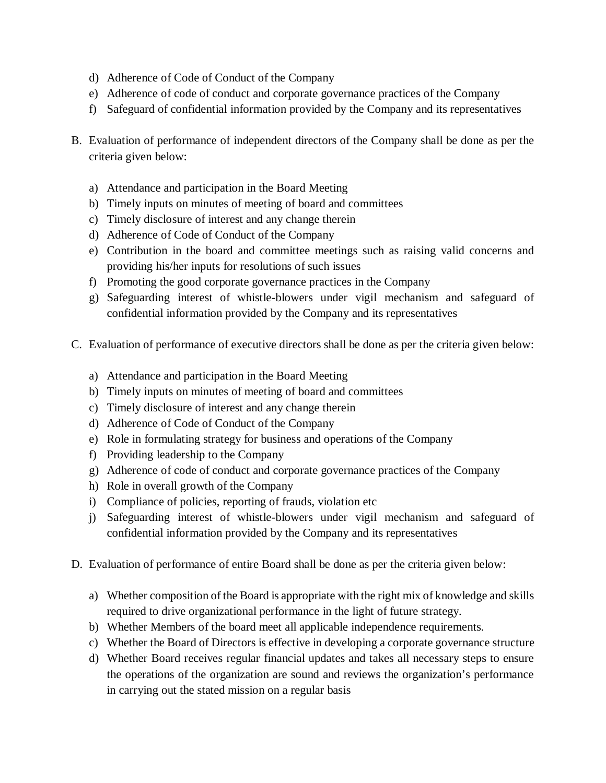- d) Adherence of Code of Conduct of the Company
- e) Adherence of code of conduct and corporate governance practices of the Company
- f) Safeguard of confidential information provided by the Company and its representatives
- B. Evaluation of performance of independent directors of the Company shall be done as per the criteria given below:
	- a) Attendance and participation in the Board Meeting
	- b) Timely inputs on minutes of meeting of board and committees
	- c) Timely disclosure of interest and any change therein
	- d) Adherence of Code of Conduct of the Company
	- e) Contribution in the board and committee meetings such as raising valid concerns and providing his/her inputs for resolutions of such issues
	- f) Promoting the good corporate governance practices in the Company
	- g) Safeguarding interest of whistle-blowers under vigil mechanism and safeguard of confidential information provided by the Company and its representatives
- C. Evaluation of performance of executive directors shall be done as per the criteria given below:
	- a) Attendance and participation in the Board Meeting
	- b) Timely inputs on minutes of meeting of board and committees
	- c) Timely disclosure of interest and any change therein
	- d) Adherence of Code of Conduct of the Company
	- e) Role in formulating strategy for business and operations of the Company
	- f) Providing leadership to the Company
	- g) Adherence of code of conduct and corporate governance practices of the Company
	- h) Role in overall growth of the Company
	- i) Compliance of policies, reporting of frauds, violation etc
	- j) Safeguarding interest of whistle-blowers under vigil mechanism and safeguard of confidential information provided by the Company and its representatives
- D. Evaluation of performance of entire Board shall be done as per the criteria given below:
	- a) Whether composition of the Board is appropriate with the right mix of knowledge and skills required to drive organizational performance in the light of future strategy.
	- b) Whether Members of the board meet all applicable independence requirements.
	- c) Whether the Board of Directors is effective in developing a corporate governance structure
	- d) Whether Board receives regular financial updates and takes all necessary steps to ensure the operations of the organization are sound and reviews the organization's performance in carrying out the stated mission on a regular basis